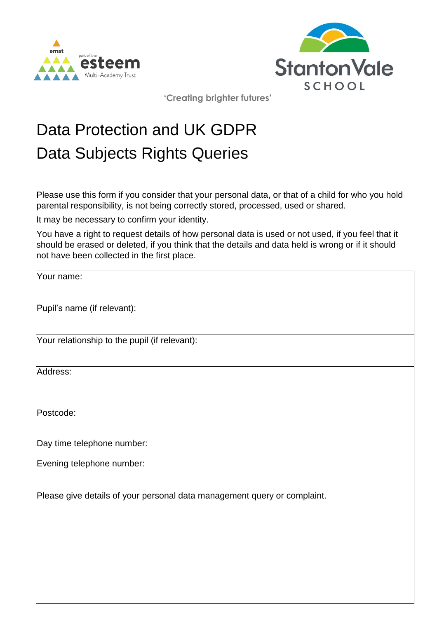



**'Creating brighter futures'** 

## Data Protection and UK GDPR Data Subjects Rights Queries

Please use this form if you consider that your personal data, or that of a child for who you hold parental responsibility, is not being correctly stored, processed, used or shared.

It may be necessary to confirm your identity.

You have a right to request details of how personal data is used or not used, if you feel that it should be erased or deleted, if you think that the details and data held is wrong or if it should not have been collected in the first place.

Your name:

Pupil's name (if relevant):

Your relationship to the pupil (if relevant):

Address:

Postcode:

Day time telephone number:

Evening telephone number:

Please give details of your personal data management query or complaint.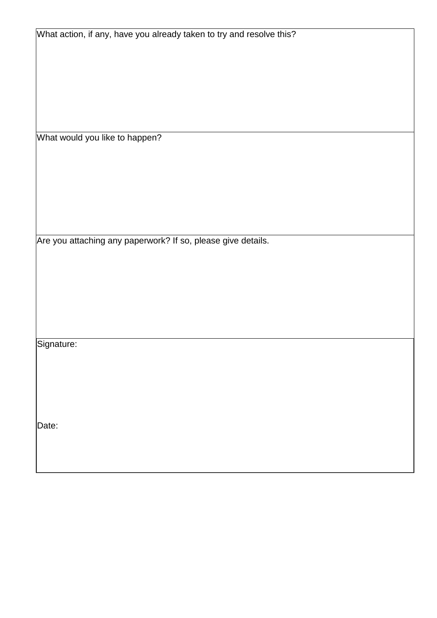What action, if any, have you already taken to try and resolve this?

What would you like to happen?

Are you attaching any paperwork? If so, please give details.

Signature:

Date: